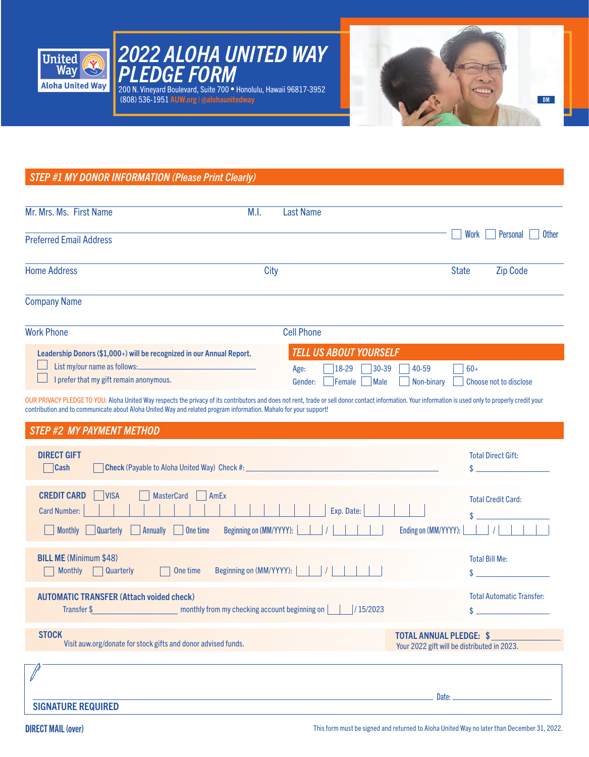





# *STEP #1 MY DONOR INFORMATION (Please Print Clearly)*

| Mr. Mrs. Ms. First Name                                                                                                                                                                                                                                                                                                    | M.I. | Last Name                                                                                                           |              |                          |
|----------------------------------------------------------------------------------------------------------------------------------------------------------------------------------------------------------------------------------------------------------------------------------------------------------------------------|------|---------------------------------------------------------------------------------------------------------------------|--------------|--------------------------|
| <b>Preferred Email Address</b>                                                                                                                                                                                                                                                                                             |      |                                                                                                                     | Work         | <b>Other</b><br>Personal |
| <b>Home Address</b>                                                                                                                                                                                                                                                                                                        | City |                                                                                                                     | <b>State</b> | <b>Zip Code</b>          |
| <b>Company Name</b>                                                                                                                                                                                                                                                                                                        |      |                                                                                                                     |              |                          |
| <b>Work Phone</b>                                                                                                                                                                                                                                                                                                          |      | <b>Cell Phone</b>                                                                                                   |              |                          |
| Leadership Donors (\$1,000+) will be recognized in our Annual Report.<br>List my/our name as follows:<br>I prefer that my gift remain anonymous.                                                                                                                                                                           |      | <b>TELL US ABOUT YOURSELF</b><br>$ 18-29 $<br>$ 30-39 $<br>40-59<br>Age:<br>Female<br>Male<br>Non-binary<br>Gender: | $60+$        | Choose not to disclose   |
| OUR PRIVACY PLEDGE TO YOU: Aloha United Way respects the privacy of its contributors and does not rent, trade or sell donor contact information. Your information is used only to properly credit your<br>contribution and to communicate about Aloha United Way and related program information. Mahalo for your support! |      |                                                                                                                     |              |                          |
| <b>STEP #2 MY PAYMENT METHOD</b>                                                                                                                                                                                                                                                                                           |      |                                                                                                                     |              |                          |

| <b>DIRECT GIFT</b><br>$\Box$ Cash                                                                                                                                                                                                         |                                                                               | <b>Total Direct Gift:</b>                                |
|-------------------------------------------------------------------------------------------------------------------------------------------------------------------------------------------------------------------------------------------|-------------------------------------------------------------------------------|----------------------------------------------------------|
| <b>CREDIT CARD</b><br><b>MasterCard</b><br><b>VISA</b><br>AmEx<br>- 1<br><b>Card Number:</b><br>Exp. Date:<br>Beginning on $(MM/YYYY)$ : $\begin{vmatrix} 1 & 1 \end{vmatrix}$<br>$\vert$ One time<br>Monthly   Quarterly  <br>  Annually | Ending on (MM/YYYY):                                                          | <b>Total Credit Card:</b>                                |
| <b>BILL ME</b> (Minimum \$48)<br>Beginning on (MM/YYYY):          <br><b>Quarterly</b><br>One time<br><b>Monthly</b>                                                                                                                      |                                                                               | <b>Total Bill Me:</b>                                    |
| <b>AUTOMATIC TRANSFER (Attach voided check)</b><br>/15/2023                                                                                                                                                                               |                                                                               | <b>Total Automatic Transfer:</b><br><u> Karl III.a (</u> |
| <b>STOCK</b><br>Visit auw.org/donate for stock gifts and donor advised funds.                                                                                                                                                             | <b>TOTAL ANNUAL PLEDGE: \$</b><br>Your 2022 gift will be distributed in 2023. |                                                          |
|                                                                                                                                                                                                                                           |                                                                               |                                                          |
| <b>SIGNATURE REQUIRED</b>                                                                                                                                                                                                                 | Date:                                                                         |                                                          |